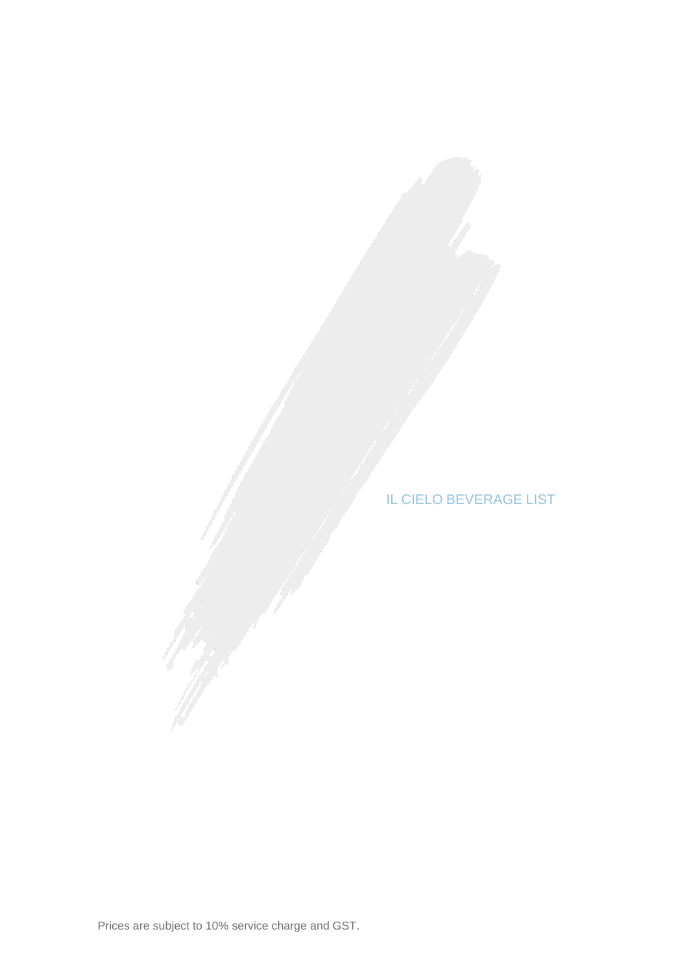IL CIELO BEVERAGE LIST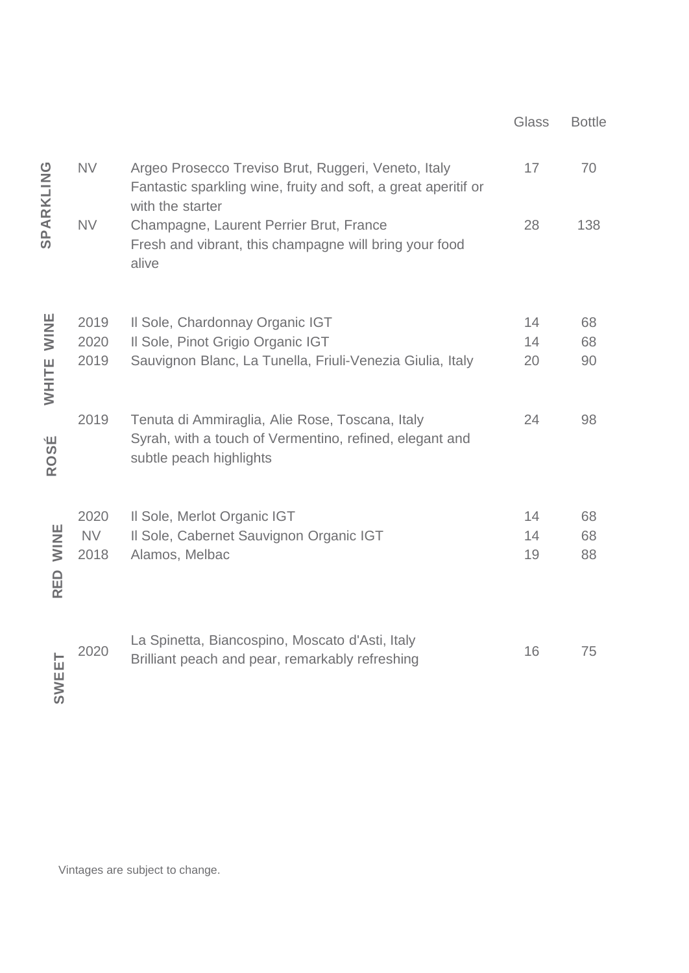|             |           |                                                                                                                                           | Glass | <b>Bottle</b> |
|-------------|-----------|-------------------------------------------------------------------------------------------------------------------------------------------|-------|---------------|
| SPARKLING   | <b>NV</b> | Argeo Prosecco Treviso Brut, Ruggeri, Veneto, Italy<br>Fantastic sparkling wine, fruity and soft, a great aperitif or<br>with the starter | 17    | 70            |
|             | <b>NV</b> | Champagne, Laurent Perrier Brut, France<br>Fresh and vibrant, this champagne will bring your food<br>alive                                | 28    | 138           |
| <b>NINE</b> | 2019      | Il Sole, Chardonnay Organic IGT                                                                                                           | 14    | 68            |
|             | 2020      | Il Sole, Pinot Grigio Organic IGT                                                                                                         | 14    | 68            |
| WHITE       | 2019      | Sauvignon Blanc, La Tunella, Friuli-Venezia Giulia, Italy                                                                                 | 20    | 90            |
| ROSÉ        | 2019      | Tenuta di Ammiraglia, Alie Rose, Toscana, Italy<br>Syrah, with a touch of Vermentino, refined, elegant and<br>subtle peach highlights     | 24    | 98            |
|             | 2020      | Il Sole, Merlot Organic IGT                                                                                                               | 14    | 68            |
| <b>NINE</b> | <b>NV</b> | Il Sole, Cabernet Sauvignon Organic IGT                                                                                                   | 14    | 68            |
| <b>RED</b>  | 2018      | Alamos, Melbac                                                                                                                            | 19    | 88            |
| SWEET       | 2020      | La Spinetta, Biancospino, Moscato d'Asti, Italy<br>Brilliant peach and pear, remarkably refreshing                                        | 16    | 75            |

Vintages are subject to change.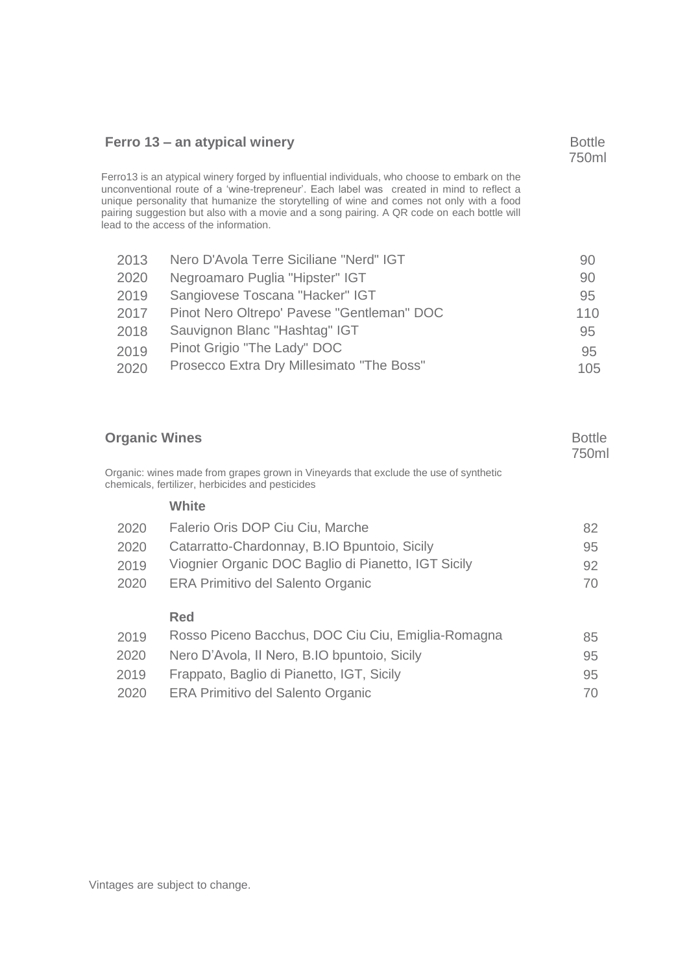## **Ferro** 13 – an atypical winery Bottle

750ml

Ferro13 is an atypical winery forged by influential individuals, who choose to embark on the unconventional route of a 'wine-trepreneur'. Each label was created in mind to reflect a unique personality that humanize the storytelling of wine and comes not only with a food pairing suggestion but also with a movie and a song pairing. A QR code on each bottle will lead to the access of the information.

| 2013 | Nero D'Avola Terre Siciliane "Nerd" IGT    | 90  |
|------|--------------------------------------------|-----|
| 2020 | Negroamaro Puglia "Hipster" IGT            | 90  |
| 2019 | Sangiovese Toscana "Hacker" IGT            | 95  |
| 2017 | Pinot Nero Oltrepo' Pavese "Gentleman" DOC | 110 |
| 2018 | Sauvignon Blanc "Hashtag" IGT              | 95  |
| 2019 | Pinot Grigio "The Lady" DOC                | 95  |
| 2020 | Prosecco Extra Dry Millesimato "The Boss"  | 105 |
|      |                                            |     |

| <b>Organic Wines</b> |                                                                                                                                          | <b>Bottle</b><br>750ml |
|----------------------|------------------------------------------------------------------------------------------------------------------------------------------|------------------------|
|                      | Organic: wines made from grapes grown in Vineyards that exclude the use of synthetic<br>chemicals, fertilizer, herbicides and pesticides |                        |
|                      | White                                                                                                                                    |                        |
| 2020                 | Falerio Oris DOP Ciu Ciu, Marche                                                                                                         | 82                     |
| 2020                 | Catarratto-Chardonnay, B.IO Bpuntoio, Sicily                                                                                             | 95                     |
| 2019                 | Viognier Organic DOC Baglio di Pianetto, IGT Sicily                                                                                      | 92                     |
| 2020                 | <b>ERA Primitivo del Salento Organic</b>                                                                                                 | 70                     |
|                      | Red                                                                                                                                      |                        |
| 2019                 | Rosso Piceno Bacchus, DOC Ciu Ciu, Emiglia-Romagna                                                                                       | 85                     |
| 2020                 | Nero D'Avola, Il Nero, B.IO bpuntoio, Sicily                                                                                             | 95                     |
| 2019                 | Frappato, Baglio di Pianetto, IGT, Sicily                                                                                                | 95                     |
| 2020                 | <b>ERA Primitivo del Salento Organic</b>                                                                                                 | 70                     |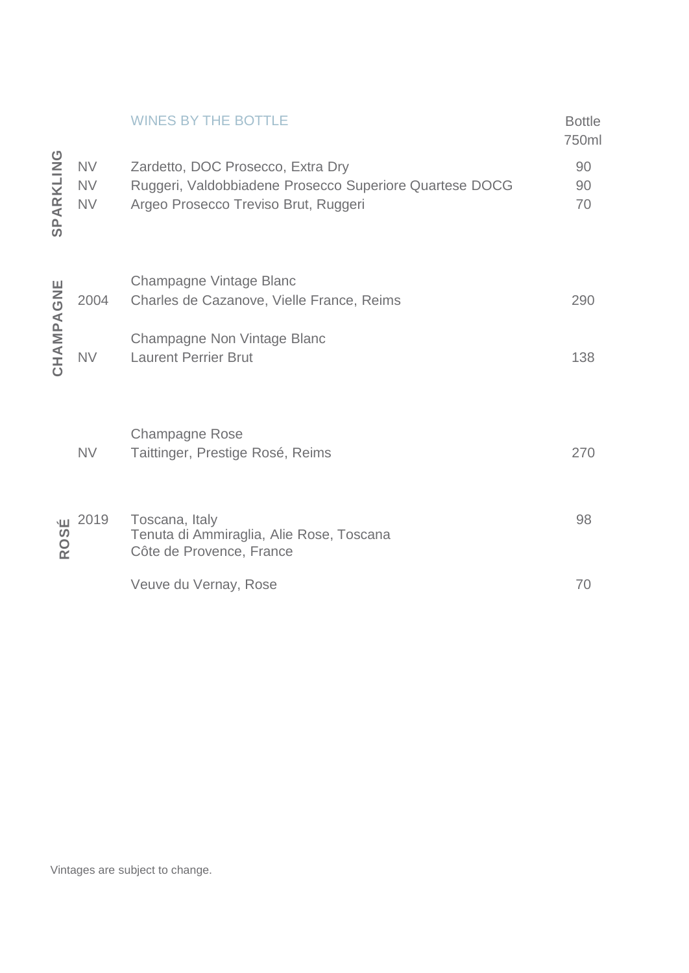|            |                                     | <b>WINES BY THE BOTTLE</b>                                                                                                           | <b>Bottle</b><br>750ml |
|------------|-------------------------------------|--------------------------------------------------------------------------------------------------------------------------------------|------------------------|
| SPARKLING  | <b>NV</b><br><b>NV</b><br><b>NV</b> | Zardetto, DOC Prosecco, Extra Dry<br>Ruggeri, Valdobbiadene Prosecco Superiore Quartese DOCG<br>Argeo Prosecco Treviso Brut, Ruggeri | 90<br>90<br>70         |
|            | 2004                                | Champagne Vintage Blanc<br>Charles de Cazanove, Vielle France, Reims                                                                 | 290                    |
| CHAMPAGNE  | <b>NV</b>                           | Champagne Non Vintage Blanc<br><b>Laurent Perrier Brut</b>                                                                           | 138                    |
|            | <b>NV</b>                           | <b>Champagne Rose</b><br>Taittinger, Prestige Rosé, Reims                                                                            | 270                    |
| <b>ROS</b> | <b>Ш</b> 2019                       | Toscana, Italy<br>Tenuta di Ammiraglia, Alie Rose, Toscana<br>Côte de Provence, France                                               | 98                     |
|            |                                     | Veuve du Vernay, Rose                                                                                                                | 70                     |
|            |                                     |                                                                                                                                      |                        |
|            |                                     |                                                                                                                                      |                        |
|            |                                     |                                                                                                                                      |                        |
|            |                                     |                                                                                                                                      |                        |
|            |                                     | Vintages are subject to change.                                                                                                      |                        |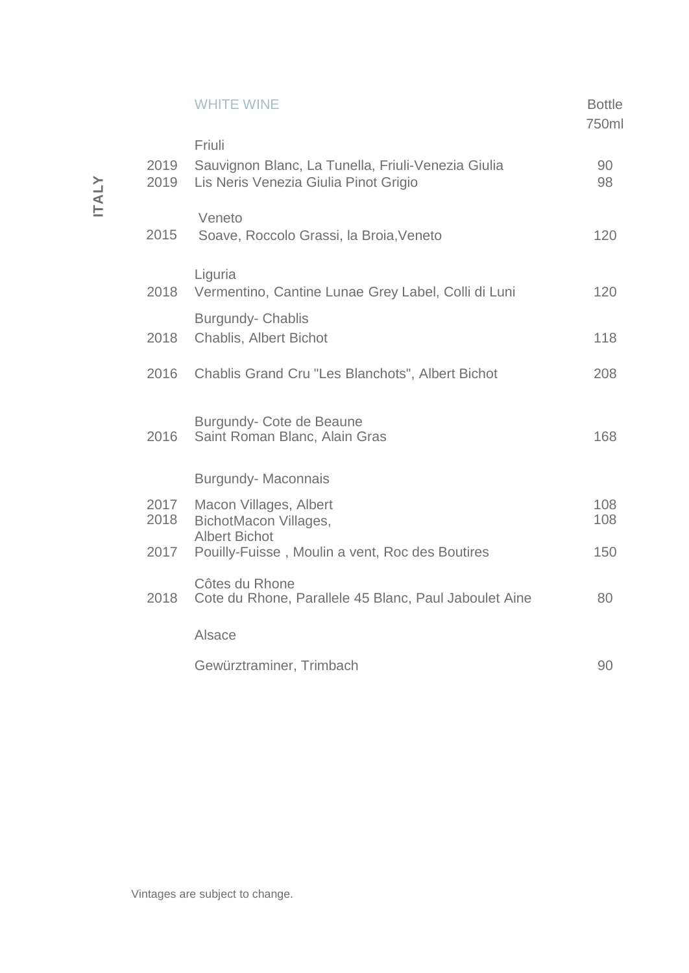|              |              | <b>WHITE WINE</b>                                                                                     | <b>Bottle</b><br>750ml |
|--------------|--------------|-------------------------------------------------------------------------------------------------------|------------------------|
| <b>ITALY</b> | 2019<br>2019 | Friuli<br>Sauvignon Blanc, La Tunella, Friuli-Venezia Giulia<br>Lis Neris Venezia Giulia Pinot Grigio | 90<br>98               |
|              | 2015         | Veneto<br>Soave, Roccolo Grassi, la Broia, Veneto                                                     | 120                    |
|              | 2018         | Liguria<br>Vermentino, Cantine Lunae Grey Label, Colli di Luni                                        | 120                    |
|              | 2018         | <b>Burgundy- Chablis</b><br><b>Chablis, Albert Bichot</b>                                             | 118                    |
|              | 2016         | Chablis Grand Cru "Les Blanchots", Albert Bichot                                                      | 208                    |
|              | 2016         | Burgundy- Cote de Beaune<br>Saint Roman Blanc, Alain Gras                                             | 168                    |
|              |              | <b>Burgundy-Maconnais</b>                                                                             |                        |
|              | 2017<br>2018 | Macon Villages, Albert<br>BichotMacon Villages,                                                       | 108<br>108             |
|              | 2017         | <b>Albert Bichot</b><br>Pouilly-Fuisse, Moulin a vent, Roc des Boutires                               | 150                    |
|              | 2018         | Côtes du Rhone<br>Cote du Rhone, Parallele 45 Blanc, Paul Jaboulet Aine                               | 80                     |
|              |              | Alsace                                                                                                |                        |
|              |              | Gewürztraminer, Trimbach                                                                              | 90                     |
|              |              |                                                                                                       |                        |
|              |              |                                                                                                       |                        |
|              |              |                                                                                                       |                        |
|              |              |                                                                                                       |                        |
|              |              |                                                                                                       |                        |
|              |              | Vintages are subject to change.                                                                       |                        |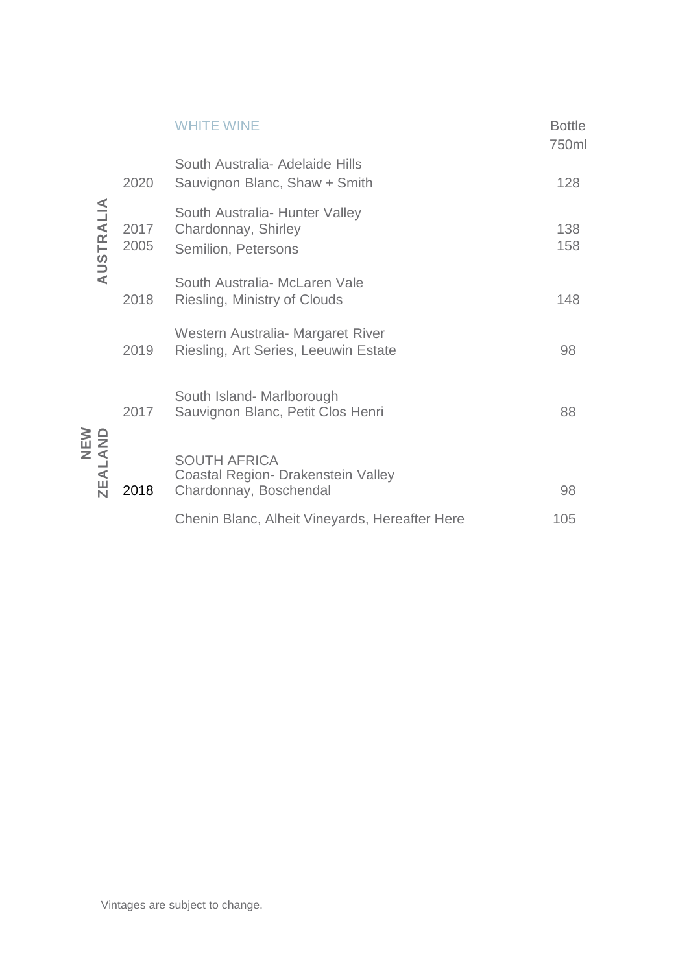|                            |              | <b>WHITE WINE</b>                                                                   | <b>Bottle</b><br>750ml |
|----------------------------|--------------|-------------------------------------------------------------------------------------|------------------------|
|                            | 2020         | South Australia- Adelaide Hills<br>Sauvignon Blanc, Shaw + Smith                    | 128                    |
| AUSTRALIA                  | 2017<br>2005 | South Australia- Hunter Valley<br>Chardonnay, Shirley<br>Semilion, Petersons        | 138<br>158             |
|                            | 2018         | South Australia- McLaren Vale<br>Riesling, Ministry of Clouds                       | 148                    |
|                            | 2019         | Western Australia - Margaret River<br>Riesling, Art Series, Leeuwin Estate          | 98                     |
|                            | 2017         | South Island- Marlborough<br>Sauvignon Blanc, Petit Clos Henri                      | 88                     |
| <b>ZEALAND</b><br>MEN<br>N | 2018         | <b>SOUTH AFRICA</b><br>Coastal Region- Drakenstein Valley<br>Chardonnay, Boschendal | 98                     |
|                            |              | Chenin Blanc, Alheit Vineyards, Hereafter Here                                      | 105                    |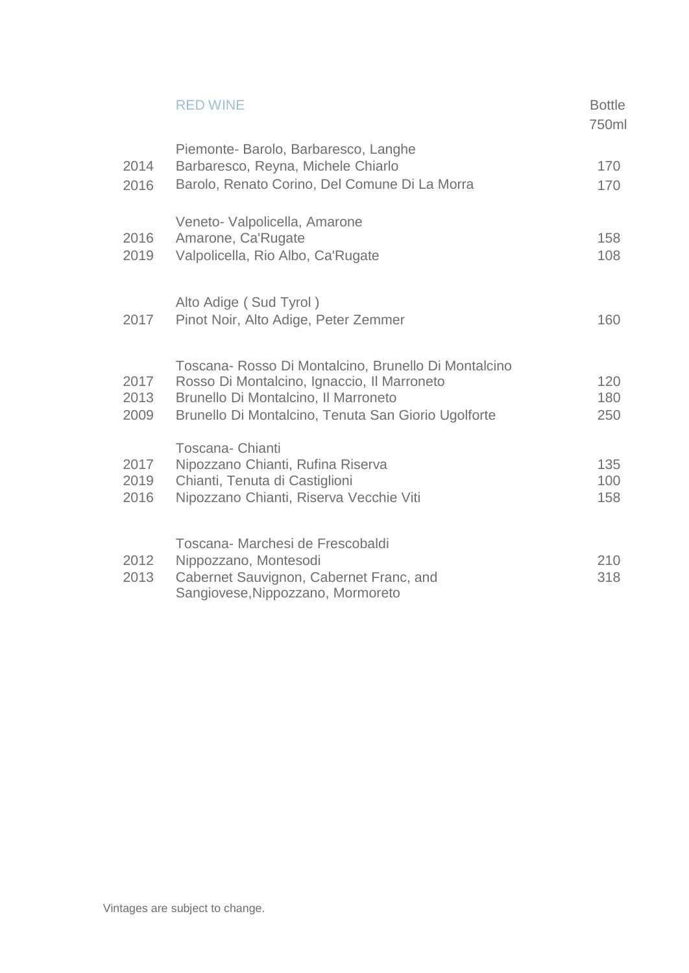|                      | <b>RED WINE</b>                                                                                                                                                                                    | <b>Bottle</b><br>750ml |
|----------------------|----------------------------------------------------------------------------------------------------------------------------------------------------------------------------------------------------|------------------------|
| 2014<br>2016         | Piemonte- Barolo, Barbaresco, Langhe<br>Barbaresco, Reyna, Michele Chiarlo<br>Barolo, Renato Corino, Del Comune Di La Morra                                                                        | 170<br>170             |
| 2016<br>2019         | Veneto- Valpolicella, Amarone<br>Amarone, Ca'Rugate<br>Valpolicella, Rio Albo, Ca'Rugate                                                                                                           | 158<br>108             |
| 2017                 | Alto Adige (Sud Tyrol)<br>Pinot Noir, Alto Adige, Peter Zemmer                                                                                                                                     | 160                    |
| 2017<br>2013<br>2009 | Toscana- Rosso Di Montalcino, Brunello Di Montalcino<br>Rosso Di Montalcino, Ignaccio, Il Marroneto<br>Brunello Di Montalcino, Il Marroneto<br>Brunello Di Montalcino, Tenuta San Giorio Ugolforte | 120<br>180<br>250      |
| 2017<br>2019<br>2016 | <b>Toscana- Chianti</b><br>Nipozzano Chianti, Rufina Riserva<br>Chianti, Tenuta di Castiglioni<br>Nipozzano Chianti, Riserva Vecchie Viti                                                          | 135<br>100<br>158      |
| 2012<br>2013         | Toscana- Marchesi de Frescobaldi<br>Nippozzano, Montesodi<br>Cabernet Sauvignon, Cabernet Franc, and<br>Sangiovese, Nippozzano, Mormoreto                                                          | 210<br>318             |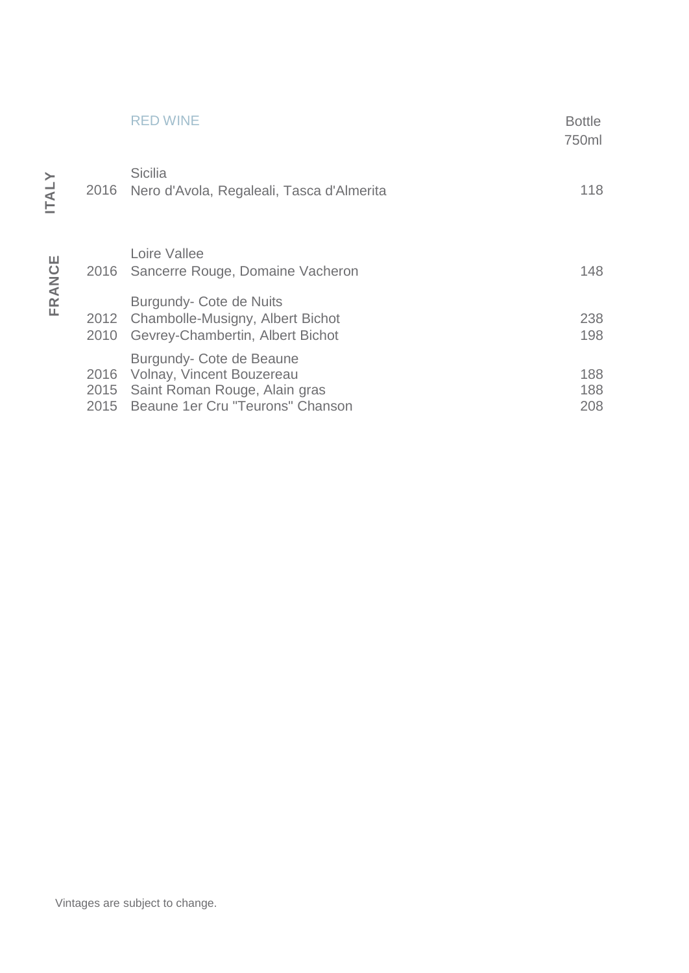|                      | RED WINE                                                                                                                   | <b>Bottle</b><br>750ml |
|----------------------|----------------------------------------------------------------------------------------------------------------------------|------------------------|
| 2016                 | <b>Sicilia</b><br>Nero d'Avola, Regaleali, Tasca d'Almerita                                                                | 118                    |
| 2016                 | Loire Vallee<br>Sancerre Rouge, Domaine Vacheron                                                                           | 148                    |
| 2012<br>2010         | Burgundy- Cote de Nuits<br>Chambolle-Musigny, Albert Bichot<br>Gevrey-Chambertin, Albert Bichot                            | 238<br>198             |
| 2016<br>2015<br>2015 | Burgundy- Cote de Beaune<br>Volnay, Vincent Bouzereau<br>Saint Roman Rouge, Alain gras<br>Beaune 1er Cru "Teurons" Chanson | 188<br>188<br>208      |

FRANCE **FRANCE**

Vintages are subject to change.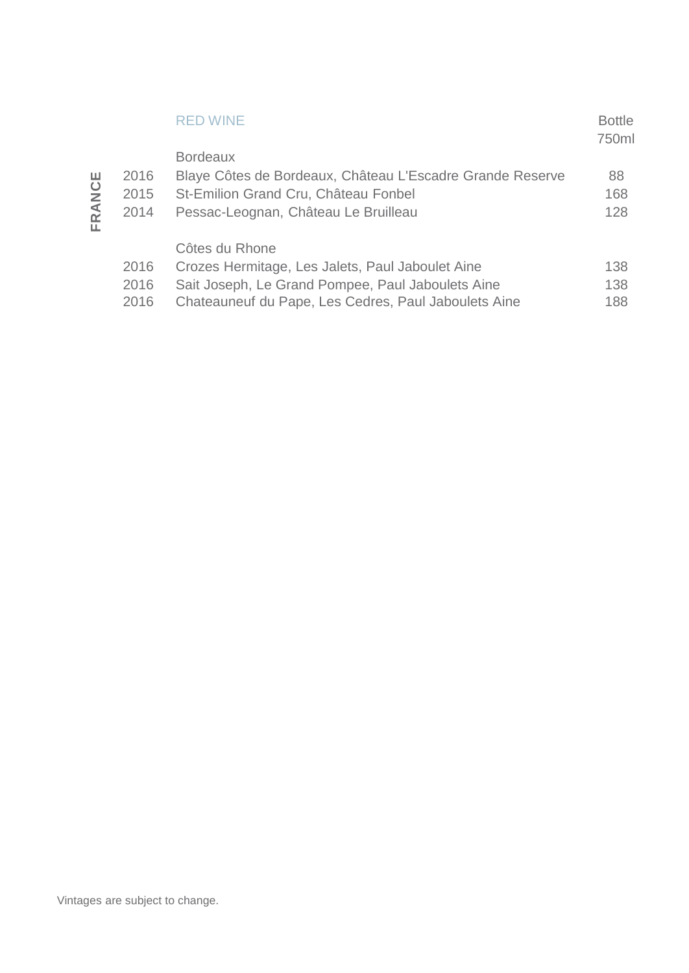|        |                      | <b>RED WINE</b>                                                                                                                                                                 | <b>Bottle</b><br>750ml |
|--------|----------------------|---------------------------------------------------------------------------------------------------------------------------------------------------------------------------------|------------------------|
| FRANCE | 2016<br>2015<br>2014 | <b>Bordeaux</b><br>Blaye Côtes de Bordeaux, Château L'Escadre Grande Reserve<br>St-Emilion Grand Cru, Château Fonbel<br>Pessac-Leognan, Château Le Bruilleau                    | 88<br>168<br>128       |
|        | 2016<br>2016<br>2016 | Côtes du Rhone<br>Crozes Hermitage, Les Jalets, Paul Jaboulet Aine<br>Sait Joseph, Le Grand Pompee, Paul Jaboulets Aine<br>Chateauneuf du Pape, Les Cedres, Paul Jaboulets Aine | 138<br>138<br>188      |
|        |                      |                                                                                                                                                                                 |                        |
|        |                      |                                                                                                                                                                                 |                        |
|        |                      |                                                                                                                                                                                 |                        |
|        |                      |                                                                                                                                                                                 |                        |
|        |                      |                                                                                                                                                                                 |                        |
|        |                      | Vintages are subject to change.                                                                                                                                                 |                        |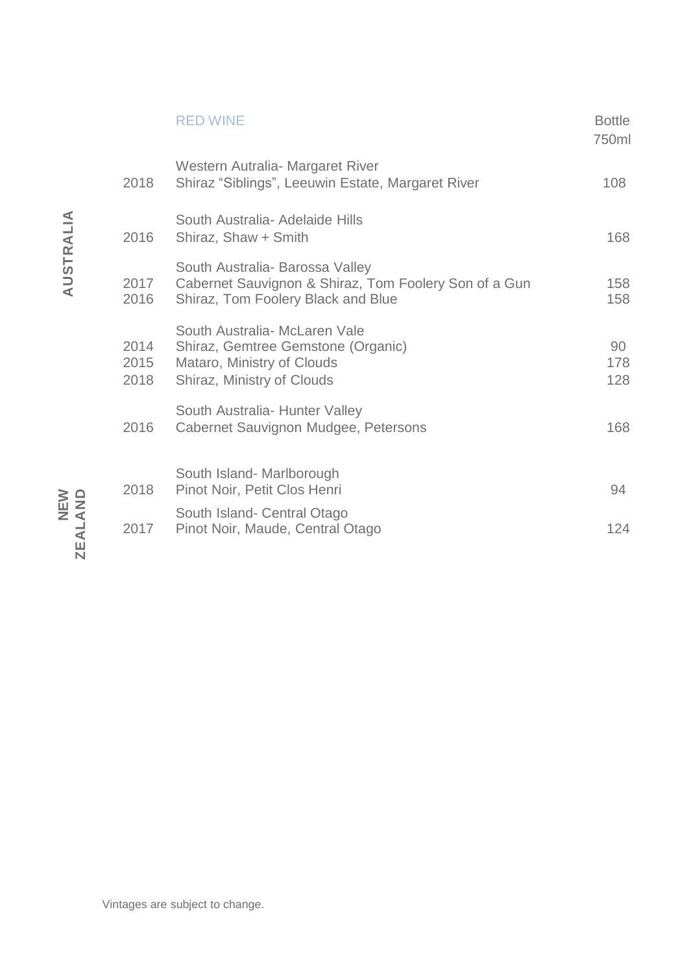|                      | <b>RED WINE</b>                                                                                                                 | <b>Bottle</b><br>750ml |
|----------------------|---------------------------------------------------------------------------------------------------------------------------------|------------------------|
| 2018                 | Western Autralia - Margaret River<br>Shiraz "Siblings", Leeuwin Estate, Margaret River                                          | 108                    |
| 2016                 | South Australia- Adelaide Hills<br>Shiraz, Shaw + Smith                                                                         | 168                    |
| 2017<br>2016         | South Australia- Barossa Valley<br>Cabernet Sauvignon & Shiraz, Tom Foolery Son of a Gun<br>Shiraz, Tom Foolery Black and Blue  | 158<br>158             |
| 2014<br>2015<br>2018 | South Australia- McLaren Vale<br>Shiraz, Gemtree Gemstone (Organic)<br>Mataro, Ministry of Clouds<br>Shiraz, Ministry of Clouds | 90<br>178<br>128       |
| 2016                 | South Australia - Hunter Valley<br>Cabernet Sauvignon Mudgee, Petersons                                                         | 168                    |
| 2018                 | South Island- Marlborough<br>Pinot Noir, Petit Clos Henri                                                                       | 94                     |
| 2017                 | South Island- Central Otago<br>Pinot Noir, Maude, Central Otago                                                                 | 124                    |
|                      |                                                                                                                                 |                        |

**AUSTRALIA**

**NEW ZEALAND**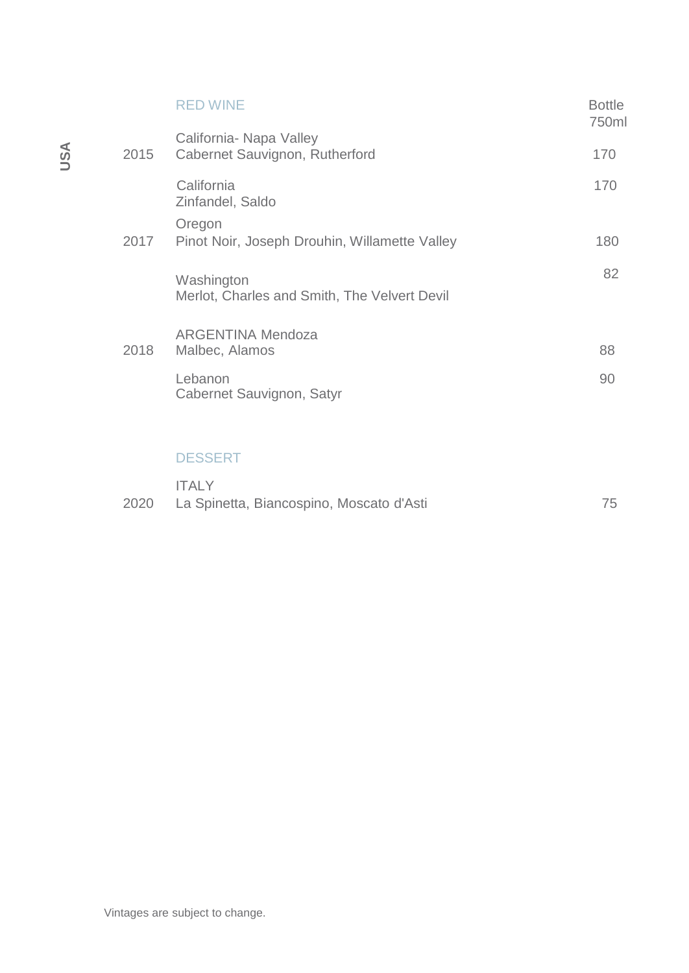|      | <b>RED WINE</b>                                            | <b>Bottle</b><br>750ml |
|------|------------------------------------------------------------|------------------------|
| 2015 | California- Napa Valley<br>Cabernet Sauvignon, Rutherford  | 170                    |
|      | California<br>Zinfandel, Saldo                             | 170                    |
| 2017 | Oregon<br>Pinot Noir, Joseph Drouhin, Willamette Valley    | 180                    |
|      | Washington<br>Merlot, Charles and Smith, The Velvert Devil | 82                     |
| 2018 | <b>ARGENTINA Mendoza</b><br>Malbec, Alamos                 | 88                     |
|      | Lebanon<br>Cabernet Sauvignon, Satyr                       | 90                     |
|      |                                                            |                        |
|      | <u>DEAAEDT</u>                                             |                        |

## DESSERT

|      | <b>ITALY</b>                             |  |
|------|------------------------------------------|--|
| 2020 | La Spinetta, Biancospino, Moscato d'Asti |  |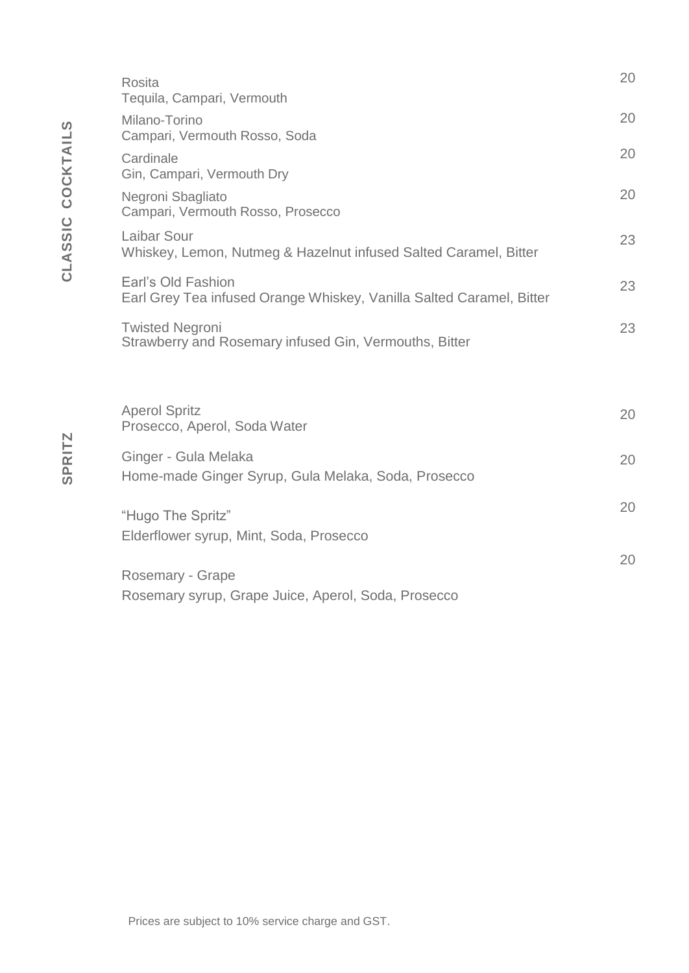| Rosita<br>Tequila, Campari, Vermouth                                                       | 20 |
|--------------------------------------------------------------------------------------------|----|
| Milano-Torino<br>Campari, Vermouth Rosso, Soda                                             | 20 |
| Cardinale<br>Gin, Campari, Vermouth Dry                                                    | 20 |
| Negroni Sbagliato<br>Campari, Vermouth Rosso, Prosecco                                     | 20 |
| Laibar Sour<br>Whiskey, Lemon, Nutmeg & Hazelnut infused Salted Caramel, Bitter            | 23 |
| Earl's Old Fashion<br>Earl Grey Tea infused Orange Whiskey, Vanilla Salted Caramel, Bitter | 23 |
| <b>Twisted Negroni</b><br>Strawberry and Rosemary infused Gin, Vermouths, Bitter           | 23 |
|                                                                                            |    |
| <b>Aperol Spritz</b><br>Prosecco, Aperol, Soda Water                                       | 20 |
| Ginger - Gula Melaka<br>Home-made Ginger Syrup, Gula Melaka, Soda, Prosecco                | 20 |
| "Hugo The Spritz"                                                                          | 20 |
| Elderflower syrup, Mint, Soda, Prosecco                                                    | 20 |
| Rosemary - Grape                                                                           |    |
| Rosemary syrup, Grape Juice, Aperol, Soda, Prosecco                                        |    |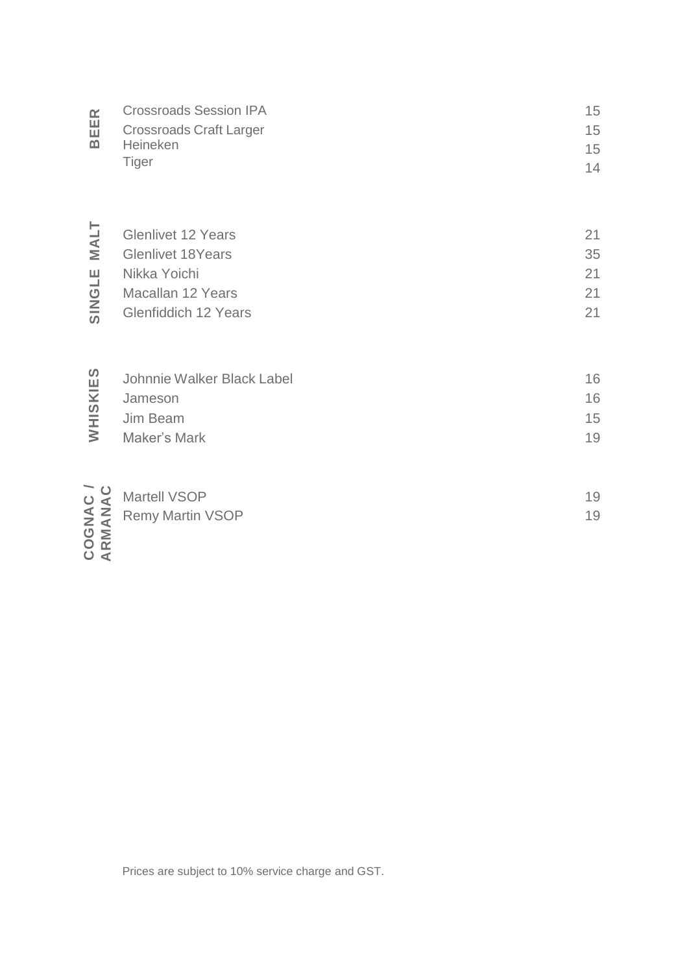| $\sim$ | <b>Crossroads Session IPA</b>  | 15  |
|--------|--------------------------------|-----|
| 帯      | <b>Crossroads Craft Larger</b> | 15. |
| മ      | <b>Heineken</b>                | 15. |
|        | Tiger                          | 14  |

| MALT<br>Щ<br>$\vec{\sigma}$<br>$rac{2}{5}$ | <b>Glenlivet 12 Years</b><br><b>Glenlivet 18Years</b><br>Nikka Yoichi<br>Macallan 12 Years<br><b>Glenfiddich 12 Years</b> | 21<br>35<br>21<br>21<br>21 |
|--------------------------------------------|---------------------------------------------------------------------------------------------------------------------------|----------------------------|
| $E$ S<br>$\overline{\textbf{x}}$<br>WHISI  | Johnnie Walker Black Label<br>Jameson<br>Jim Beam<br>Maker's Mark                                                         | 16<br>16<br>15<br>19       |

| ျ              | Johnnie Walker Black Label | 16 |
|----------------|----------------------------|----|
| $\geq$         | Jameson                    | 16 |
| $\frac{6}{10}$ | Jim Beam                   | 15 |
| $\geq$         | Maker's Mark               | 19 |
|                |                            |    |

|            | $\overline{u}$ Martell VSOP            | 19 |
|------------|----------------------------------------|----|
|            | $\leq$ $\overline{z}$ Remy Martin VSOP | 19 |
| ΰ Σ<br>౦ ∢ |                                        |    |

Prices are subject to 10% service charge and GST.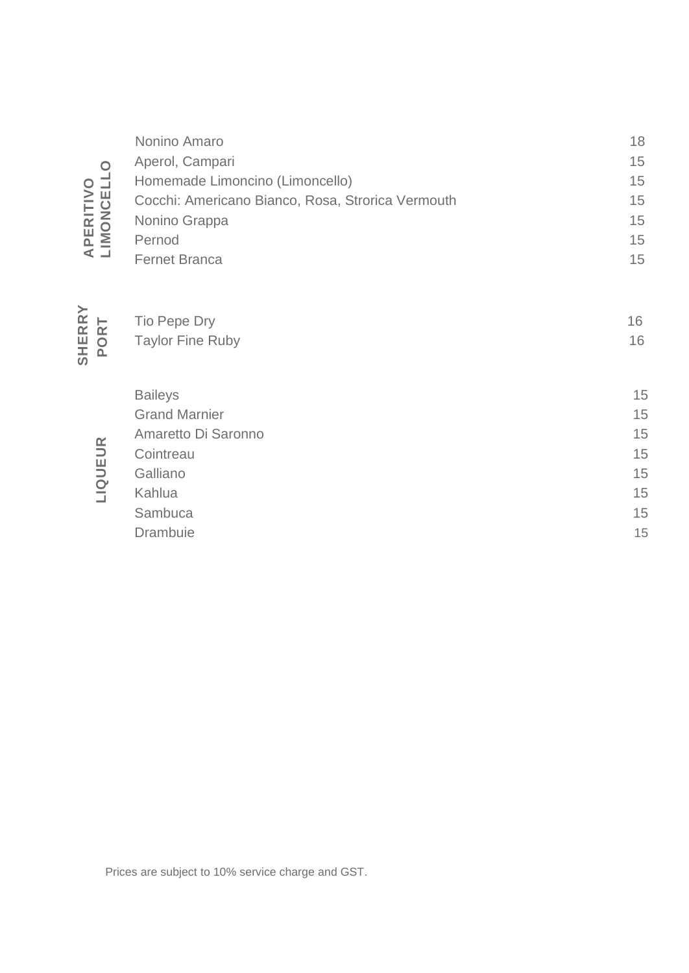|                              | Nonino Amaro                                      | 18 |
|------------------------------|---------------------------------------------------|----|
|                              | Aperol, Campari                                   | 15 |
| $\circ$ $\exists$            | Homemade Limoncino (Limoncello)                   | 15 |
| <b>APERITIV<br/>LIMONCEI</b> | Cocchi: Americano Bianco, Rosa, Strorica Vermouth | 15 |
|                              | Nonino Grappa                                     | 15 |
|                              | Pernod                                            | 15 |
|                              | <b>Fernet Branca</b>                              | 15 |
|                              |                                                   |    |

| <b>APERITIVO<br/>LIMONCELLO</b> | Aperul, Galilpall<br>Homemade Limoncino (Limoncello)<br>Cocchi: Americano Bianco, Rosa, Strorica Vermouth<br>Nonino Grappa<br>Pernod<br><b>Fernet Branca</b> | $\cup$<br>15<br>15<br>15<br>15<br>15         |
|---------------------------------|--------------------------------------------------------------------------------------------------------------------------------------------------------------|----------------------------------------------|
| <b>SHERRY</b><br>PORT           | Tio Pepe Dry<br><b>Taylor Fine Ruby</b>                                                                                                                      | 16<br>$16$                                   |
| LIQUEUR                         | <b>Baileys</b><br><b>Grand Marnier</b><br>Amaretto Di Saronno<br>Cointreau<br>Galliano<br>Kahlua<br>Sambuca<br>Drambuie                                      | 15<br>15<br>15<br>15<br>15<br>15<br>15<br>15 |
|                                 | Prices are subject to 10% service charge and GST.                                                                                                            |                                              |